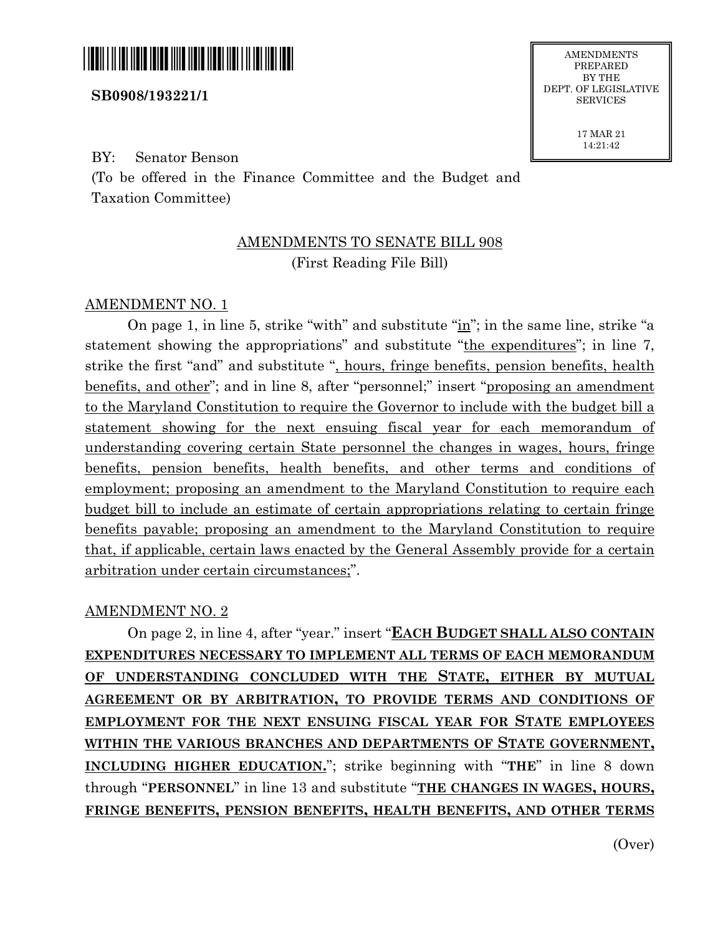

## **SB0908/193221/1**

BY: Senator Benson

(To be offered in the Finance Committee and the Budget and Taxation Committee)

## AMENDMENTS TO SENATE BILL 908 (First Reading File Bill)

## AMENDMENT NO. 1

On page 1, in line 5, strike "with" and substitute "in"; in the same line, strike "a statement showing the appropriations" and substitute "the expenditures"; in line 7, strike the first "and" and substitute ", hours, fringe benefits, pension benefits, health benefits, and other"; and in line 8, after "personnel;" insert "proposing an amendment to the Maryland Constitution to require the Governor to include with the budget bill a statement showing for the next ensuing fiscal year for each memorandum of understanding covering certain State personnel the changes in wages, hours, fringe benefits, pension benefits, health benefits, and other terms and conditions of employment; proposing an amendment to the Maryland Constitution to require each budget bill to include an estimate of certain appropriations relating to certain fringe benefits payable; proposing an amendment to the Maryland Constitution to require that, if applicable, certain laws enacted by the General Assembly provide for a certain arbitration under certain circumstances;".

## AMENDMENT NO. 2

On page 2, in line 4, after "year." insert "**EACH BUDGET SHALL ALSO CONTAIN EXPENDITURES NECESSARY TO IMPLEMENT ALL TERMS OF EACH MEMORANDUM OF UNDERSTANDING CONCLUDED WITH THE STATE, EITHER BY MUTUAL AGREEMENT OR BY ARBITRATION, TO PROVIDE TERMS AND CONDITIONS OF EMPLOYMENT FOR THE NEXT ENSUING FISCAL YEAR FOR STATE EMPLOYEES WITHIN THE VARIOUS BRANCHES AND DEPARTMENTS OF STATE GOVERNMENT, INCLUDING HIGHER EDUCATION.**"; strike beginning with "**THE**" in line 8 down through "**PERSONNEL**" in line 13 and substitute "**THE CHANGES IN WAGES, HOURS, FRINGE BENEFITS, PENSION BENEFITS, HEALTH BENEFITS, AND OTHER TERMS** 

PREPARED BY THE DEPT. OF LEGISLATIVE **SERVICES** 

> 17 MAR 21 14:21:42

> > (Over)